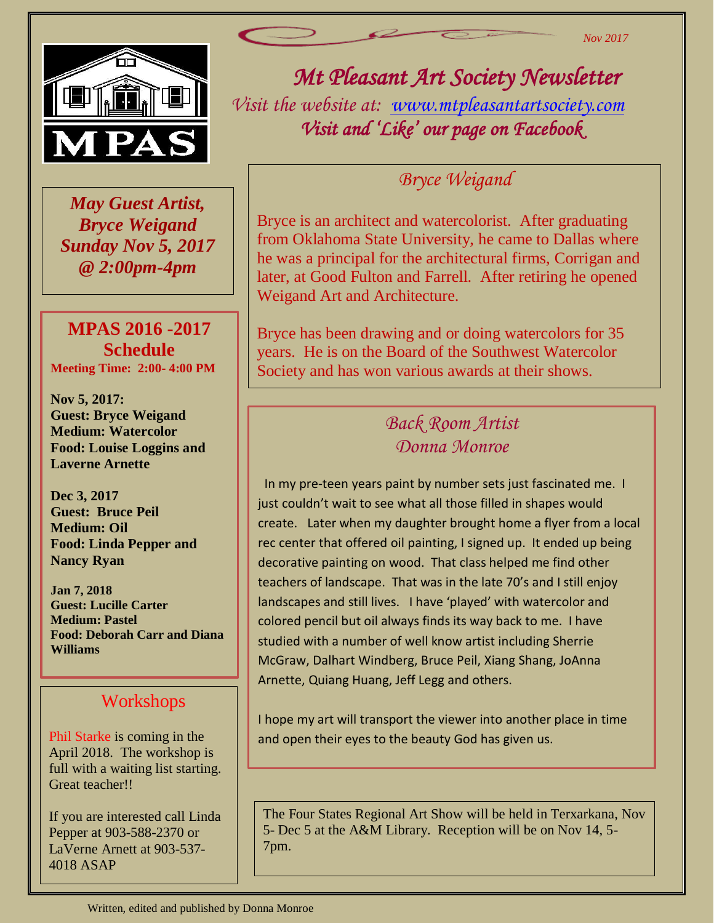

 *May Guest Artist, Bryce Weigand Sunday Nov 5, 2017 @ 2:00pm-4pm*

#### **MPAS 2016 -2017 Schedule Meeting Time: 2:00- 4:00 PM**

**Nov 5, 2017: Guest: Bryce Weigand Medium: Watercolor Food: Louise Loggins and Laverne Arnette**

**Dec 3, 2017 Guest: Bruce Peil Medium: Oil Food: Linda Pepper and Nancy Ryan** 

**Jan 7, 2018 Guest: Lucille Carter Medium: Pastel Food: Deborah Carr and Diana Williams**

#### Workshops

Phil Starke is coming in the April 2018. The workshop is full with a waiting list starting. Great teacher!!

If you are interested call Linda Pepper at 903-588-2370 or LaVerne Arnett at 903-537- 4018 ASAP

# *Mt Pleasant Art Society Newsletter*

*Nov 2017*

*Visit the website at: [www.mtpleasantartsociety.com](http://www.mtpleasantartsociety.com/) Visit and 'Like' our page on Facebook* 

#### *Bryce Weigand*

Bryce is an architect and watercolorist. After graduating from Oklahoma State University, he came to Dallas where he was a principal for the architectural firms, Corrigan and later, at Good Fulton and Farrell. After retiring he opened Weigand Art and Architecture.

Bryce has been drawing and or doing watercolors for 35 years. He is on the Board of the Southwest Watercolor Society and has won various awards at their shows.

### *Back Room Artist Donna Monroe*

 In my pre-teen years paint by number sets just fascinated me. I just couldn't wait to see what all those filled in shapes would create. Later when my daughter brought home a flyer from a local rec center that offered oil painting, I signed up. It ended up being decorative painting on wood. That class helped me find other teachers of landscape. That was in the late 70's and I still enjoy landscapes and still lives. I have 'played' with watercolor and colored pencil but oil always finds its way back to me. I have studied with a number of well know artist including Sherrie McGraw, Dalhart Windberg, Bruce Peil, Xiang Shang, JoAnna Arnette, Quiang Huang, Jeff Legg and others.

I hope my art will transport the viewer into another place in time and open their eyes to the beauty God has given us.

The Four States Regional Art Show will be held in Terxarkana, Nov 5- Dec 5 at the A&M Library. Reception will be on Nov 14, 5- 7pm.